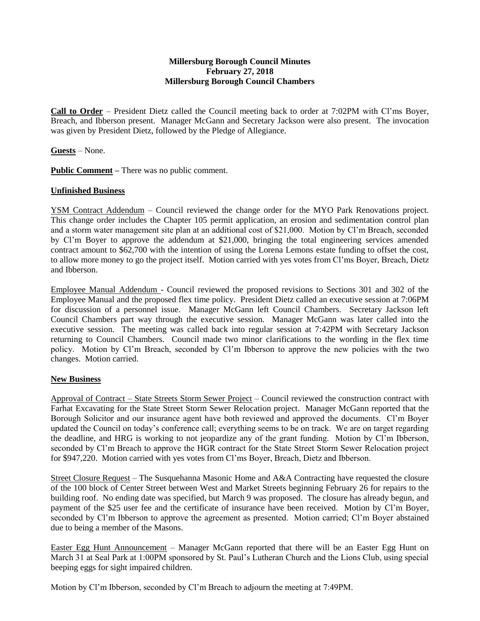## **Millersburg Borough Council Minutes February 27, 2018 Millersburg Borough Council Chambers**

**Call to Order** – President Dietz called the Council meeting back to order at 7:02PM with Cl'ms Boyer, Breach, and Ibberson present. Manager McGann and Secretary Jackson were also present. The invocation was given by President Dietz, followed by the Pledge of Allegiance.

**Guests** – None.

**Public Comment –** There was no public comment.

## **Unfinished Business**

YSM Contract Addendum – Council reviewed the change order for the MYO Park Renovations project. This change order includes the Chapter 105 permit application, an erosion and sedimentation control plan and a storm water management site plan at an additional cost of \$21,000. Motion by Cl'm Breach, seconded by Cl'm Boyer to approve the addendum at \$21,000, bringing the total engineering services amended contract amount to \$62,700 with the intention of using the Lorena Lemons estate funding to offset the cost, to allow more money to go the project itself. Motion carried with yes votes from Cl'ms Boyer, Breach, Dietz and Ibberson.

Employee Manual Addendum - Council reviewed the proposed revisions to Sections 301 and 302 of the Employee Manual and the proposed flex time policy. President Dietz called an executive session at 7:06PM for discussion of a personnel issue. Manager McGann left Council Chambers. Secretary Jackson left Council Chambers part way through the executive session. Manager McGann was later called into the executive session. The meeting was called back into regular session at 7:42PM with Secretary Jackson returning to Council Chambers. Council made two minor clarifications to the wording in the flex time policy. Motion by Cl'm Breach, seconded by Cl'm Ibberson to approve the new policies with the two changes. Motion carried.

## **New Business**

Approval of Contract – State Streets Storm Sewer Project – Council reviewed the construction contract with Farhat Excavating for the State Street Storm Sewer Relocation project. Manager McGann reported that the Borough Solicitor and our insurance agent have both reviewed and approved the documents. Cl'm Boyer updated the Council on today's conference call; everything seems to be on track. We are on target regarding the deadline, and HRG is working to not jeopardize any of the grant funding. Motion by Cl'm Ibberson, seconded by Cl'm Breach to approve the HGR contract for the State Street Storm Sewer Relocation project for \$947,220. Motion carried with yes votes from Cl'ms Boyer, Breach, Dietz and Ibberson.

Street Closure Request – The Susquehanna Masonic Home and A&A Contracting have requested the closure of the 100 block of Center Street between West and Market Streets beginning February 26 for repairs to the building roof. No ending date was specified, but March 9 was proposed. The closure has already begun, and payment of the \$25 user fee and the certificate of insurance have been received. Motion by Cl'm Boyer, seconded by Cl'm Ibberson to approve the agreement as presented. Motion carried; Cl'm Boyer abstained due to being a member of the Masons.

Easter Egg Hunt Announcement – Manager McGann reported that there will be an Easter Egg Hunt on March 31 at Seal Park at 1:00PM sponsored by St. Paul's Lutheran Church and the Lions Club, using special beeping eggs for sight impaired children.

Motion by Cl'm Ibberson, seconded by Cl'm Breach to adjourn the meeting at 7:49PM.